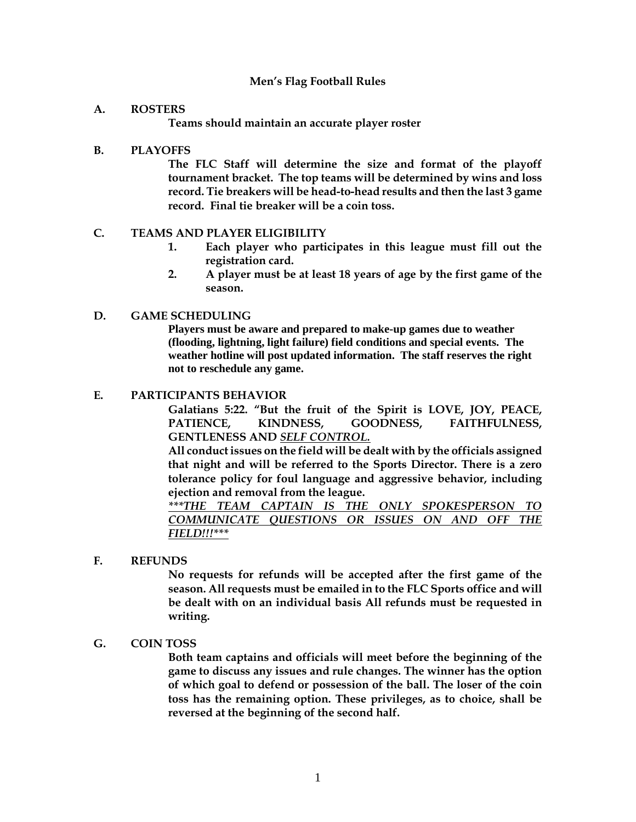## **Men's Flag Football Rules**

#### **A. ROSTERS**

**Teams should maintain an accurate player roster** 

#### **B. PLAYOFFS**

**The FLC Staff will determine the size and format of the playoff tournament bracket. The top teams will be determined by wins and loss record. Tie breakers will be head-to-head results and then the last 3 game record. Final tie breaker will be a coin toss.** 

#### **C. TEAMS AND PLAYER ELIGIBILITY**

- **1. Each player who participates in this league must fill out the registration card.**
- **2. A player must be at least 18 years of age by the first game of the season.**

#### **D. GAME SCHEDULING**

**Players must be aware and prepared to make-up games due to weather (flooding, lightning, light failure) field conditions and special events. The weather hotline will post updated information. The staff reserves the right not to reschedule any game.**

#### **E. PARTICIPANTS BEHAVIOR**

**Galatians 5:22. "But the fruit of the Spirit is LOVE, JOY, PEACE, PATIENCE, KINDNESS, GOODNESS, FAITHFULNESS, GENTLENESS AND** *SELF CONTROL.* 

**All conduct issues on the field will be dealt with by the officials assigned that night and will be referred to the Sports Director. There is a zero tolerance policy for foul language and aggressive behavior, including ejection and removal from the league.** 

*\*\*\*THE TEAM CAPTAIN IS THE ONLY SPOKESPERSON TO COMMUNICATE QUESTIONS OR ISSUES ON AND OFF THE FIELD!!!\*\*\** 

## **F. REFUNDS**

**No requests for refunds will be accepted after the first game of the season. All requests must be emailed in to the FLC Sports office and will be dealt with on an individual basis All refunds must be requested in writing.**

#### **G. COIN TOSS**

**Both team captains and officials will meet before the beginning of the game to discuss any issues and rule changes. The winner has the option of which goal to defend or possession of the ball. The loser of the coin toss has the remaining option. These privileges, as to choice, shall be reversed at the beginning of the second half.**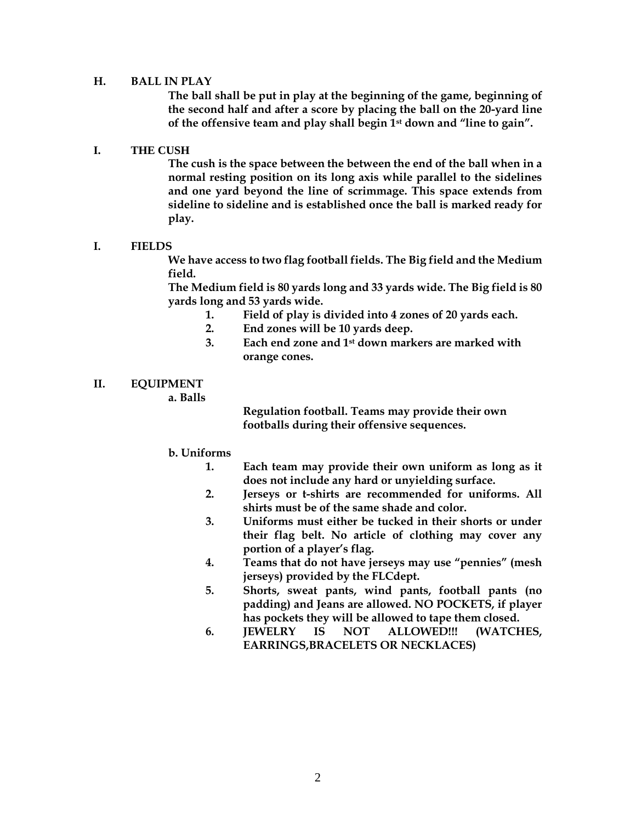## **H. BALL IN PLAY**

**The ball shall be put in play at the beginning of the game, beginning of the second half and after a score by placing the ball on the 20-yard line of the offensive team and play shall begin 1st down and "line to gain".**

#### **I. THE CUSH**

**The cush is the space between the between the end of the ball when in a normal resting position on its long axis while parallel to the sidelines and one yard beyond the line of scrimmage. This space extends from sideline to sideline and is established once the ball is marked ready for play.**

# **I. FIELDS**

**We have access to two flag football fields. The Big field and the Medium field.**

**The Medium field is 80 yards long and 33 yards wide. The Big field is 80 yards long and 53 yards wide.** 

- **1. Field of play is divided into 4 zones of 20 yards each.**
- **2. End zones will be 10 yards deep.**
- **3. Each end zone and 1st down markers are marked with orange cones.**

## **II. EQUIPMENT**

**a. Balls**

**Regulation football. Teams may provide their own footballs during their offensive sequences.** 

#### **b. Uniforms**

- **1. Each team may provide their own uniform as long as it does not include any hard or unyielding surface.**
- **2. Jerseys or t-shirts are recommended for uniforms. All shirts must be of the same shade and color.**
- **3. Uniforms must either be tucked in their shorts or under their flag belt. No article of clothing may cover any portion of a player's flag.**
- **4. Teams that do not have jerseys may use "pennies" (mesh jerseys) provided by the FLCdept.**
- **5. Shorts, sweat pants, wind pants, football pants (no padding) and Jeans are allowed. NO POCKETS, if player has pockets they will be allowed to tape them closed.**
- **6. JEWELRY IS NOT ALLOWED!!! (WATCHES, EARRINGS,BRACELETS OR NECKLACES)**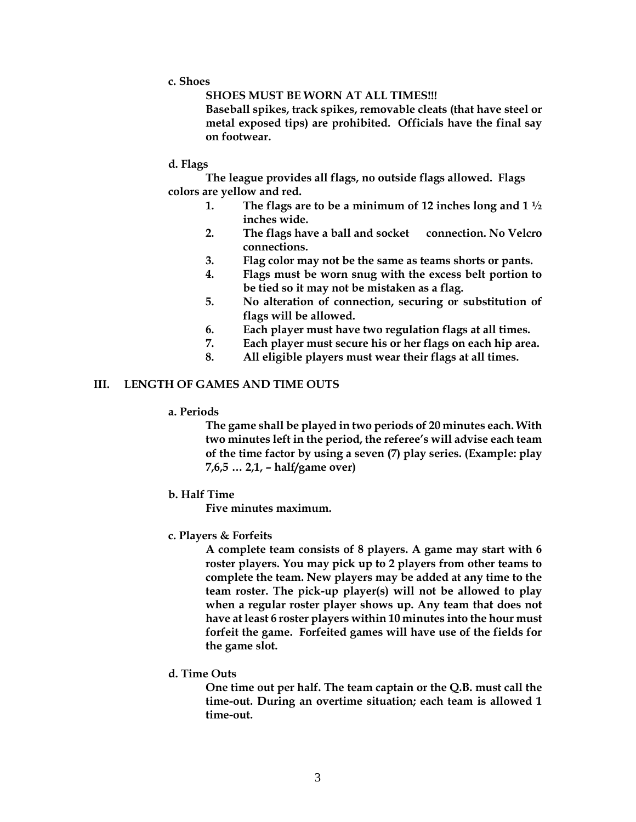**c. Shoes**

**SHOES MUST BE WORN AT ALL TIMES!!!**

**Baseball spikes, track spikes, removable cleats (that have steel or metal exposed tips) are prohibited. Officials have the final say on footwear.**

**d. Flags**

**The league provides all flags, no outside flags allowed. Flags colors are yellow and red.** 

- **1. The flags are to be a minimum of 12 inches long and 1 ½ inches wide.**
- **2. The flags have a ball and socket connection. No Velcro connections.**
- **3. Flag color may not be the same as teams shorts or pants.**
- **4. Flags must be worn snug with the excess belt portion to be tied so it may not be mistaken as a flag.**
- **5. No alteration of connection, securing or substitution of flags will be allowed.**
- **6. Each player must have two regulation flags at all times.**
- **7. Each player must secure his or her flags on each hip area.**
- **8. All eligible players must wear their flags at all times.**

## **III. LENGTH OF GAMES AND TIME OUTS**

**a. Periods**

**The game shall be played in two periods of 20 minutes each. With two minutes left in the period, the referee's will advise each team of the time factor by using a seven (7) play series. (Example: play 7,6,5 … 2,1, – half/game over)**

**b. Half Time**

**Five minutes maximum.** 

**c. Players & Forfeits** 

**A complete team consists of 8 players. A game may start with 6 roster players. You may pick up to 2 players from other teams to complete the team. New players may be added at any time to the team roster. The pick-up player(s) will not be allowed to play when a regular roster player shows up. Any team that does not have at least 6 roster players within 10 minutes into the hour must forfeit the game. Forfeited games will have use of the fields for the game slot.** 

**d. Time Outs**

**One time out per half. The team captain or the Q.B. must call the time-out. During an overtime situation; each team is allowed 1 time-out.**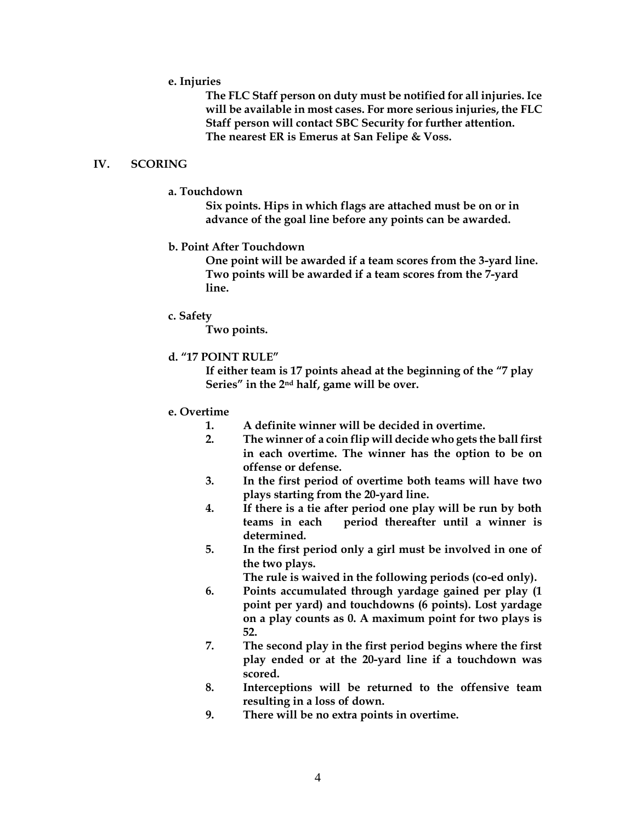#### **e. Injuries**

**The FLC Staff person on duty must be notified for all injuries. Ice will be available in most cases. For more serious injuries, the FLC Staff person will contact SBC Security for further attention. The nearest ER is Emerus at San Felipe & Voss.** 

#### **IV. SCORING**

#### **a. Touchdown**

**Six points. Hips in which flags are attached must be on or in advance of the goal line before any points can be awarded.**

## **b. Point After Touchdown**

**One point will be awarded if a team scores from the 3-yard line. Two points will be awarded if a team scores from the 7-yard line.**

#### **c. Safety**

**Two points.**

## **d. "17 POINT RULE"**

**If either team is 17 points ahead at the beginning of the "7 play Series" in the 2nd half, game will be over.**

## **e. Overtime**

- **1. A definite winner will be decided in overtime.**
- **2. The winner of a coin flip will decide who gets the ball first in each overtime. The winner has the option to be on offense or defense.**
- **3. In the first period of overtime both teams will have two plays starting from the 20-yard line.**
- **4. If there is a tie after period one play will be run by both teams in each period thereafter until a winner is determined.**
- **5. In the first period only a girl must be involved in one of the two plays.**

**The rule is waived in the following periods (co-ed only).**

- **6. Points accumulated through yardage gained per play (1 point per yard) and touchdowns (6 points). Lost yardage on a play counts as 0. A maximum point for two plays is 52.**
- **7. The second play in the first period begins where the first play ended or at the 20-yard line if a touchdown was scored.**
- **8. Interceptions will be returned to the offensive team resulting in a loss of down.**
- **9. There will be no extra points in overtime.**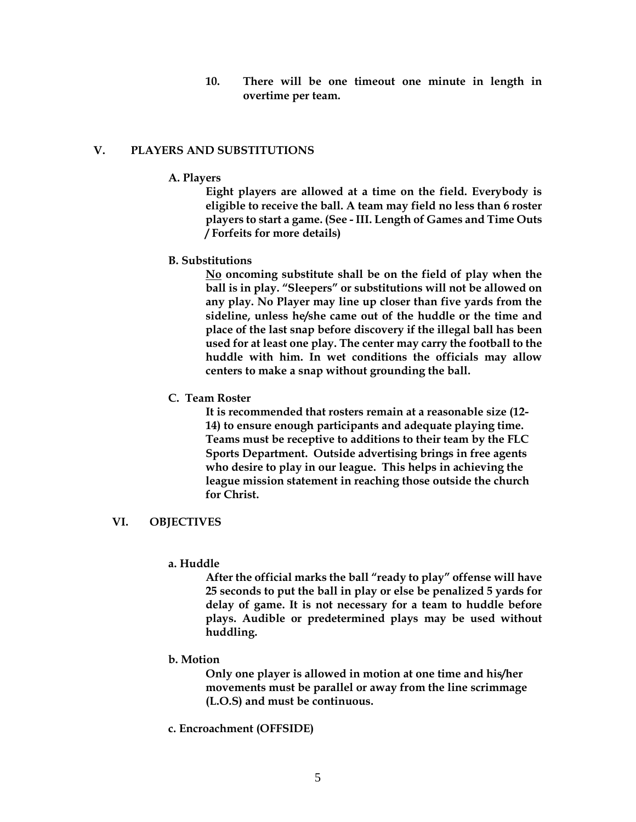**10. There will be one timeout one minute in length in overtime per team.**

# **V. PLAYERS AND SUBSTITUTIONS**

## **A. Players**

**Eight players are allowed at a time on the field. Everybody is eligible to receive the ball. A team may field no less than 6 roster players to start a game. (See - III. Length of Games and Time Outs / Forfeits for more details)** 

## **B. Substitutions**

**No oncoming substitute shall be on the field of play when the ball is in play. "Sleepers" or substitutions will not be allowed on any play. No Player may line up closer than five yards from the sideline, unless he/she came out of the huddle or the time and place of the last snap before discovery if the illegal ball has been used for at least one play. The center may carry the football to the huddle with him. In wet conditions the officials may allow centers to make a snap without grounding the ball.**

## **C. Team Roster**

**It is recommended that rosters remain at a reasonable size (12- 14) to ensure enough participants and adequate playing time. Teams must be receptive to additions to their team by the FLC Sports Department. Outside advertising brings in free agents who desire to play in our league. This helps in achieving the league mission statement in reaching those outside the church for Christ.**

## **VI. OBJECTIVES**

## **a. Huddle**

**After the official marks the ball "ready to play" offense will have 25 seconds to put the ball in play or else be penalized 5 yards for delay of game. It is not necessary for a team to huddle before plays. Audible or predetermined plays may be used without huddling.**

## **b. Motion**

**Only one player is allowed in motion at one time and his/her movements must be parallel or away from the line scrimmage (L.O.S) and must be continuous.**

**c. Encroachment (OFFSIDE)**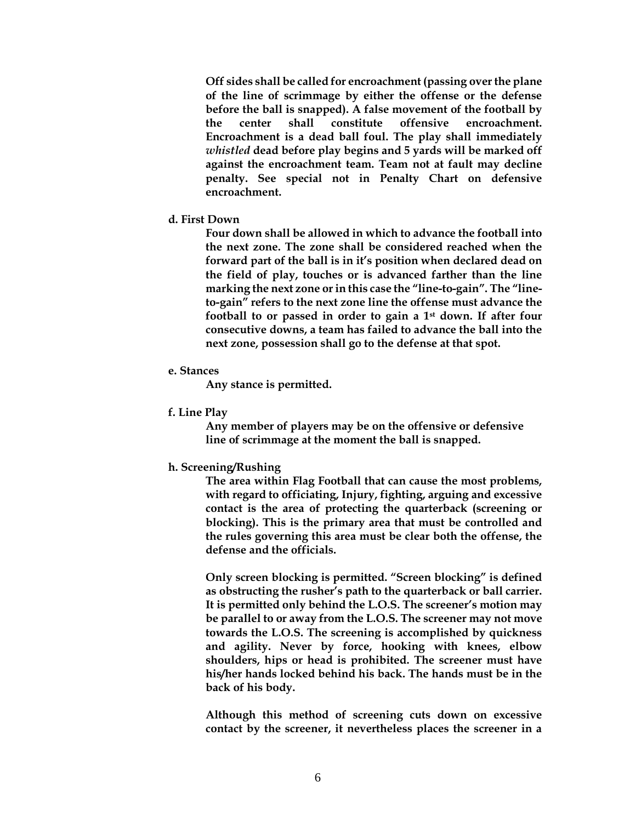**Off sides shall be called for encroachment (passing over the plane of the line of scrimmage by either the offense or the defense before the ball is snapped). A false movement of the football by the center shall constitute offensive encroachment. Encroachment is a dead ball foul. The play shall immediately**  *whistled* **dead before play begins and 5 yards will be marked off against the encroachment team. Team not at fault may decline penalty. See special not in Penalty Chart on defensive encroachment.** 

#### **d. First Down**

**Four down shall be allowed in which to advance the football into the next zone. The zone shall be considered reached when the forward part of the ball is in it's position when declared dead on the field of play, touches or is advanced farther than the line marking the next zone or in this case the "line-to-gain". The "lineto-gain" refers to the next zone line the offense must advance the football to or passed in order to gain a 1st down. If after four consecutive downs, a team has failed to advance the ball into the next zone, possession shall go to the defense at that spot.**

#### **e. Stances**

**Any stance is permitted.**

**f. Line Play**

**Any member of players may be on the offensive or defensive line of scrimmage at the moment the ball is snapped.**

**h. Screening/Rushing**

**The area within Flag Football that can cause the most problems, with regard to officiating, Injury, fighting, arguing and excessive contact is the area of protecting the quarterback (screening or blocking). This is the primary area that must be controlled and the rules governing this area must be clear both the offense, the defense and the officials.**

**Only screen blocking is permitted. "Screen blocking" is defined as obstructing the rusher's path to the quarterback or ball carrier. It is permitted only behind the L.O.S. The screener's motion may be parallel to or away from the L.O.S. The screener may not move towards the L.O.S. The screening is accomplished by quickness and agility. Never by force, hooking with knees, elbow shoulders, hips or head is prohibited. The screener must have his/her hands locked behind his back. The hands must be in the back of his body.** 

**Although this method of screening cuts down on excessive contact by the screener, it nevertheless places the screener in a**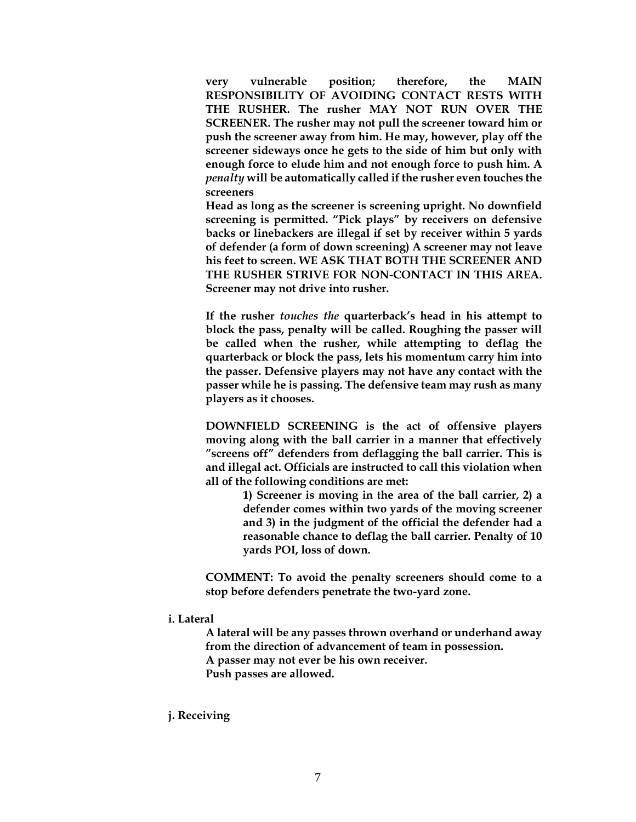**very vulnerable position; therefore, the MAIN RESPONSIBILITY OF AVOIDING CONTACT RESTS WITH THE RUSHER. The rusher MAY NOT RUN OVER THE SCREENER. The rusher may not pull the screener toward him or push the screener away from him. He may, however, play off the screener sideways once he gets to the side of him but only with enough force to elude him and not enough force to push him. A**  *penalty* **will be automatically called if the rusher even touches the screeners**

**Head as long as the screener is screening upright. No downfield screening is permitted. "Pick plays" by receivers on defensive backs or linebackers are illegal if set by receiver within 5 yards of defender (a form of down screening) A screener may not leave his feet to screen. WE ASK THAT BOTH THE SCREENER AND THE RUSHER STRIVE FOR NON-CONTACT IN THIS AREA. Screener may not drive into rusher.**

**If the rusher** *touches the* **quarterback's head in his attempt to block the pass, penalty will be called. Roughing the passer will be called when the rusher, while attempting to deflag the quarterback or block the pass, lets his momentum carry him into the passer. Defensive players may not have any contact with the passer while he is passing. The defensive team may rush as many players as it chooses.**

**DOWNFIELD SCREENING is the act of offensive players moving along with the ball carrier in a manner that effectively "screens off" defenders from deflagging the ball carrier. This is and illegal act. Officials are instructed to call this violation when all of the following conditions are met:** 

> **1) Screener is moving in the area of the ball carrier, 2) a defender comes within two yards of the moving screener and 3) in the judgment of the official the defender had a reasonable chance to deflag the ball carrier. Penalty of 10 yards POI, loss of down.**

**COMMENT: To avoid the penalty screeners should come to a stop before defenders penetrate the two-yard zone.**

#### **i. Lateral**

**A lateral will be any passes thrown overhand or underhand away from the direction of advancement of team in possession. A passer may not ever be his own receiver. Push passes are allowed.**

**j. Receiving**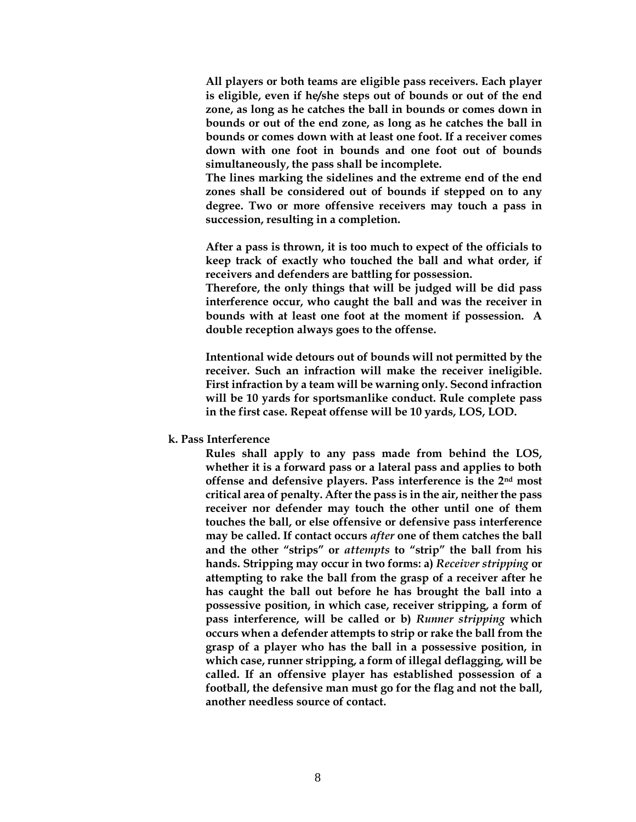**All players or both teams are eligible pass receivers. Each player is eligible, even if he/she steps out of bounds or out of the end zone, as long as he catches the ball in bounds or comes down in bounds or out of the end zone, as long as he catches the ball in bounds or comes down with at least one foot. If a receiver comes down with one foot in bounds and one foot out of bounds simultaneously, the pass shall be incomplete.**

**The lines marking the sidelines and the extreme end of the end zones shall be considered out of bounds if stepped on to any degree. Two or more offensive receivers may touch a pass in succession, resulting in a completion.**

**After a pass is thrown, it is too much to expect of the officials to keep track of exactly who touched the ball and what order, if receivers and defenders are battling for possession.**

**Therefore, the only things that will be judged will be did pass interference occur, who caught the ball and was the receiver in bounds with at least one foot at the moment if possession. A double reception always goes to the offense.**

**Intentional wide detours out of bounds will not permitted by the receiver. Such an infraction will make the receiver ineligible. First infraction by a team will be warning only. Second infraction will be 10 yards for sportsmanlike conduct. Rule complete pass in the first case. Repeat offense will be 10 yards, LOS, LOD.**

**k. Pass Interference** 

**Rules shall apply to any pass made from behind the LOS, whether it is a forward pass or a lateral pass and applies to both offense and defensive players. Pass interference is the 2nd most critical area of penalty. After the pass is in the air, neither the pass receiver nor defender may touch the other until one of them touches the ball, or else offensive or defensive pass interference may be called. If contact occurs** *after* **one of them catches the ball and the other "strips" or** *attempts* **to "strip" the ball from his hands. Stripping may occur in two forms: a)** *Receiver stripping* **or attempting to rake the ball from the grasp of a receiver after he has caught the ball out before he has brought the ball into a possessive position, in which case, receiver stripping, a form of pass interference, will be called or b)** *Runner stripping* **which occurs when a defender attempts to strip or rake the ball from the grasp of a player who has the ball in a possessive position, in which case, runner stripping, a form of illegal deflagging, will be called. If an offensive player has established possession of a football, the defensive man must go for the flag and not the ball, another needless source of contact.**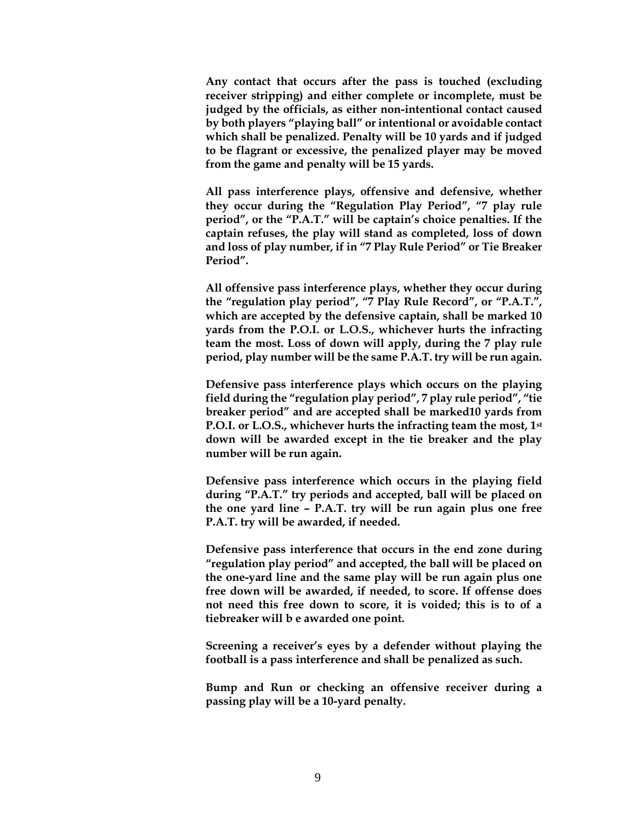**Any contact that occurs after the pass is touched (excluding receiver stripping) and either complete or incomplete, must be judged by the officials, as either non-intentional contact caused by both players "playing ball" or intentional or avoidable contact which shall be penalized. Penalty will be 10 yards and if judged to be flagrant or excessive, the penalized player may be moved from the game and penalty will be 15 yards.**

**All pass interference plays, offensive and defensive, whether they occur during the "Regulation Play Period", "7 play rule period", or the "P.A.T." will be captain's choice penalties. If the captain refuses, the play will stand as completed, loss of down and loss of play number, if in "7 Play Rule Period" or Tie Breaker Period".**

**All offensive pass interference plays, whether they occur during the "regulation play period", "7 Play Rule Record", or "P.A.T.", which are accepted by the defensive captain, shall be marked 10 yards from the P.O.I. or L.O.S., whichever hurts the infracting team the most. Loss of down will apply, during the 7 play rule period, play number will be the same P.A.T. try will be run again.**

**Defensive pass interference plays which occurs on the playing field during the "regulation play period", 7 play rule period", "tie breaker period" and are accepted shall be marked10 yards from P.O.I. or L.O.S., whichever hurts the infracting team the most, 1st down will be awarded except in the tie breaker and the play number will be run again.**

**Defensive pass interference which occurs in the playing field during "P.A.T." try periods and accepted, ball will be placed on the one yard line – P.A.T. try will be run again plus one free P.A.T. try will be awarded, if needed.**

**Defensive pass interference that occurs in the end zone during "regulation play period" and accepted, the ball will be placed on the one-yard line and the same play will be run again plus one free down will be awarded, if needed, to score. If offense does not need this free down to score, it is voided; this is to of a tiebreaker will b e awarded one point.**

**Screening a receiver's eyes by a defender without playing the football is a pass interference and shall be penalized as such.**

**Bump and Run or checking an offensive receiver during a passing play will be a 10-yard penalty.**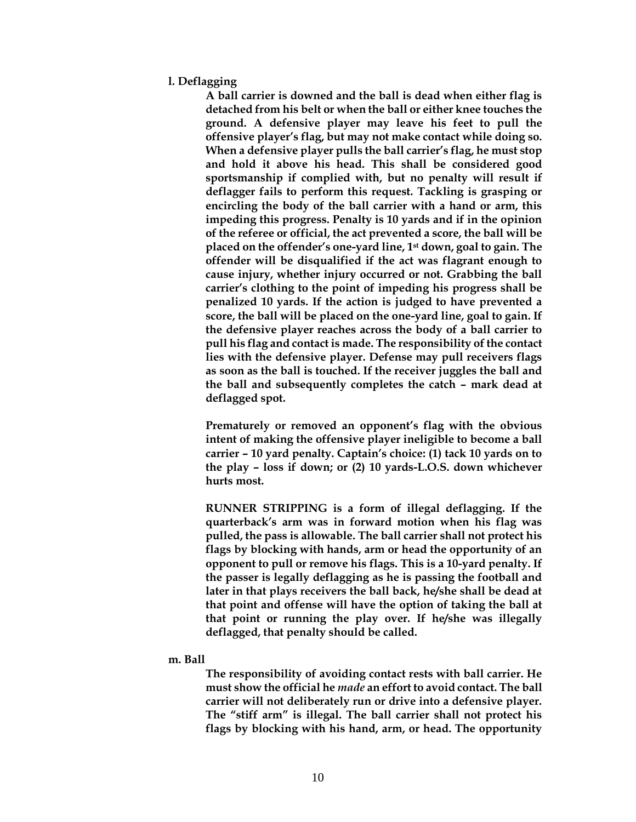#### **l. Deflagging**

**A ball carrier is downed and the ball is dead when either flag is detached from his belt or when the ball or either knee touches the ground. A defensive player may leave his feet to pull the offensive player's flag, but may not make contact while doing so. When a defensive player pulls the ball carrier's flag, he must stop and hold it above his head. This shall be considered good sportsmanship if complied with, but no penalty will result if deflagger fails to perform this request. Tackling is grasping or encircling the body of the ball carrier with a hand or arm, this impeding this progress. Penalty is 10 yards and if in the opinion of the referee or official, the act prevented a score, the ball will be placed on the offender's one-yard line, 1st down, goal to gain. The offender will be disqualified if the act was flagrant enough to cause injury, whether injury occurred or not. Grabbing the ball carrier's clothing to the point of impeding his progress shall be penalized 10 yards. If the action is judged to have prevented a score, the ball will be placed on the one-yard line, goal to gain. If the defensive player reaches across the body of a ball carrier to pull his flag and contact is made. The responsibility of the contact lies with the defensive player. Defense may pull receivers flags as soon as the ball is touched. If the receiver juggles the ball and the ball and subsequently completes the catch – mark dead at deflagged spot.**

**Prematurely or removed an opponent's flag with the obvious intent of making the offensive player ineligible to become a ball carrier – 10 yard penalty. Captain's choice: (1) tack 10 yards on to the play – loss if down; or (2) 10 yards-L.O.S. down whichever hurts most.**

**RUNNER STRIPPING is a form of illegal deflagging. If the quarterback's arm was in forward motion when his flag was pulled, the pass is allowable. The ball carrier shall not protect his flags by blocking with hands, arm or head the opportunity of an opponent to pull or remove his flags. This is a 10-yard penalty. If the passer is legally deflagging as he is passing the football and later in that plays receivers the ball back, he/she shall be dead at that point and offense will have the option of taking the ball at that point or running the play over. If he/she was illegally deflagged, that penalty should be called.**

#### **m. Ball**

**The responsibility of avoiding contact rests with ball carrier. He must show the official he** *made* **an effort to avoid contact. The ball carrier will not deliberately run or drive into a defensive player. The "stiff arm" is illegal. The ball carrier shall not protect his flags by blocking with his hand, arm, or head. The opportunity**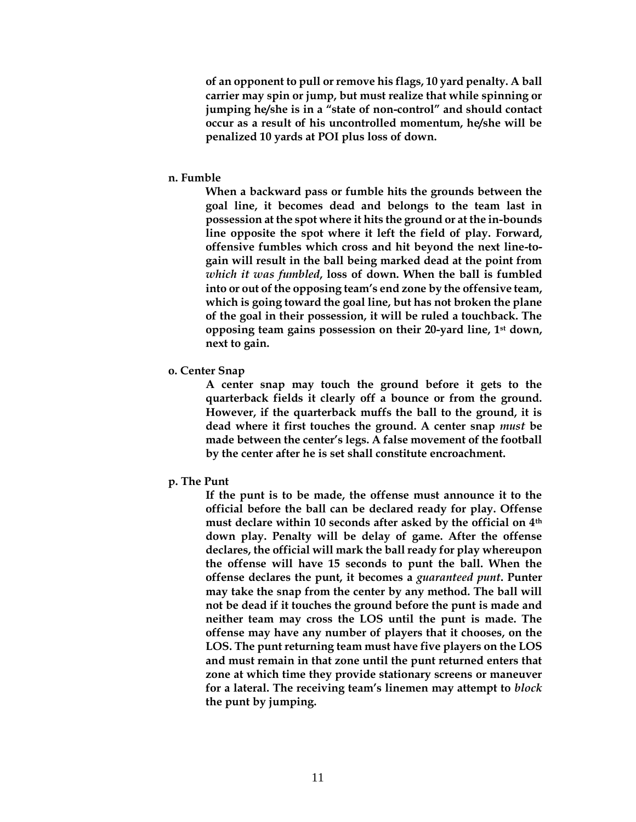**of an opponent to pull or remove his flags, 10 yard penalty. A ball carrier may spin or jump, but must realize that while spinning or jumping he/she is in a "state of non-control" and should contact occur as a result of his uncontrolled momentum, he/she will be penalized 10 yards at POI plus loss of down.**

#### **n. Fumble**

**When a backward pass or fumble hits the grounds between the goal line, it becomes dead and belongs to the team last in possession at the spot where it hits the ground or at the in-bounds line opposite the spot where it left the field of play. Forward, offensive fumbles which cross and hit beyond the next line-togain will result in the ball being marked dead at the point from**  *which it was fumbled***, loss of down. When the ball is fumbled into or out of the opposing team's end zone by the offensive team, which is going toward the goal line, but has not broken the plane of the goal in their possession, it will be ruled a touchback. The opposing team gains possession on their 20-yard line, 1st down, next to gain.**

#### **o. Center Snap**

**A center snap may touch the ground before it gets to the quarterback fields it clearly off a bounce or from the ground. However, if the quarterback muffs the ball to the ground, it is dead where it first touches the ground. A center snap** *must* **be made between the center's legs. A false movement of the football by the center after he is set shall constitute encroachment.**

#### **p. The Punt**

**If the punt is to be made, the offense must announce it to the official before the ball can be declared ready for play. Offense must declare within 10 seconds after asked by the official on 4th down play. Penalty will be delay of game. After the offense declares, the official will mark the ball ready for play whereupon the offense will have 15 seconds to punt the ball. When the offense declares the punt, it becomes a** *guaranteed punt***. Punter may take the snap from the center by any method. The ball will not be dead if it touches the ground before the punt is made and neither team may cross the LOS until the punt is made. The offense may have any number of players that it chooses, on the LOS. The punt returning team must have five players on the LOS and must remain in that zone until the punt returned enters that zone at which time they provide stationary screens or maneuver for a lateral. The receiving team's linemen may attempt to** *block* **the punt by jumping.**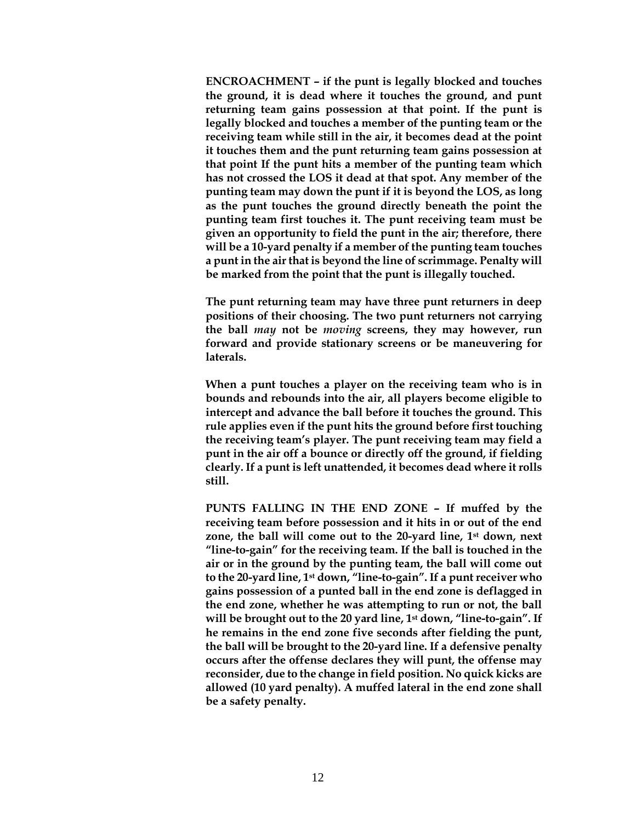**ENCROACHMENT – if the punt is legally blocked and touches the ground, it is dead where it touches the ground, and punt returning team gains possession at that point. If the punt is legally blocked and touches a member of the punting team or the receiving team while still in the air, it becomes dead at the point it touches them and the punt returning team gains possession at that point If the punt hits a member of the punting team which has not crossed the LOS it dead at that spot. Any member of the punting team may down the punt if it is beyond the LOS, as long as the punt touches the ground directly beneath the point the punting team first touches it. The punt receiving team must be given an opportunity to field the punt in the air; therefore, there will be a 10-yard penalty if a member of the punting team touches a punt in the air that is beyond the line of scrimmage. Penalty will be marked from the point that the punt is illegally touched.**

**The punt returning team may have three punt returners in deep positions of their choosing. The two punt returners not carrying the ball** *may* **not be** *moving* **screens, they may however, run forward and provide stationary screens or be maneuvering for laterals.**

**When a punt touches a player on the receiving team who is in bounds and rebounds into the air, all players become eligible to intercept and advance the ball before it touches the ground. This rule applies even if the punt hits the ground before first touching the receiving team's player. The punt receiving team may field a punt in the air off a bounce or directly off the ground, if fielding clearly. If a punt is left unattended, it becomes dead where it rolls still.**

**PUNTS FALLING IN THE END ZONE – If muffed by the receiving team before possession and it hits in or out of the end zone, the ball will come out to the 20-yard line, 1st down, next "line-to-gain" for the receiving team. If the ball is touched in the air or in the ground by the punting team, the ball will come out to the 20-yard line, 1st down, "line-to-gain". If a punt receiver who gains possession of a punted ball in the end zone is deflagged in the end zone, whether he was attempting to run or not, the ball will be brought out to the 20 yard line, 1st down, "line-to-gain". If he remains in the end zone five seconds after fielding the punt, the ball will be brought to the 20-yard line. If a defensive penalty occurs after the offense declares they will punt, the offense may reconsider, due to the change in field position. No quick kicks are allowed (10 yard penalty). A muffed lateral in the end zone shall be a safety penalty.**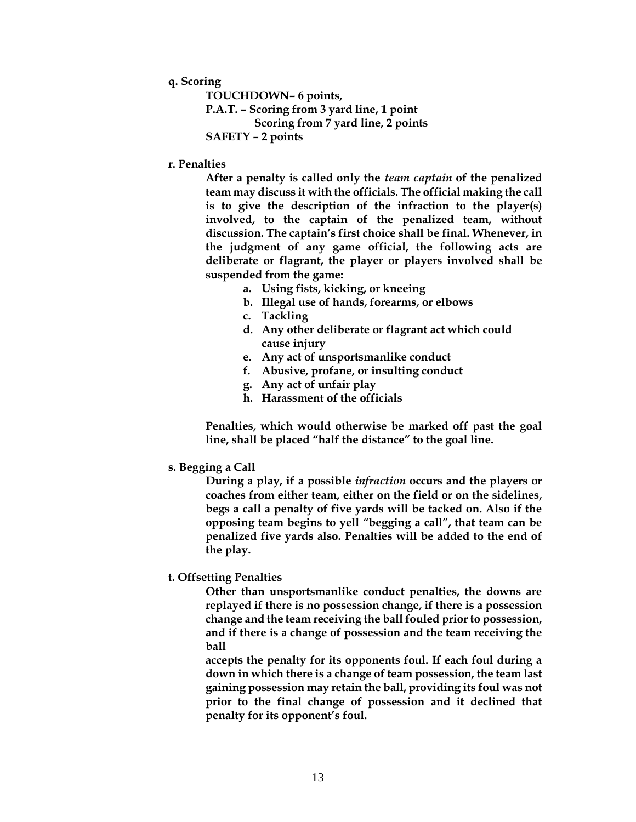## **q. Scoring**

**TOUCHDOWN– 6 points, P.A.T. – Scoring from 3 yard line, 1 point Scoring from 7 yard line, 2 points SAFETY – 2 points**

# **r. Penalties**

**After a penalty is called only the** *team captain* **of the penalized team may discuss it with the officials. The official making the call is to give the description of the infraction to the player(s) involved, to the captain of the penalized team, without discussion. The captain's first choice shall be final. Whenever, in the judgment of any game official, the following acts are deliberate or flagrant, the player or players involved shall be suspended from the game:**

- **a. Using fists, kicking, or kneeing**
- **b. Illegal use of hands, forearms, or elbows**
- **c. Tackling**
- **d. Any other deliberate or flagrant act which could cause injury**
- **e. Any act of unsportsmanlike conduct**
- **f. Abusive, profane, or insulting conduct**
- **g. Any act of unfair play**
- **h. Harassment of the officials**

**Penalties, which would otherwise be marked off past the goal line, shall be placed "half the distance" to the goal line.**

## **s. Begging a Call**

**During a play, if a possible** *infraction* **occurs and the players or coaches from either team, either on the field or on the sidelines, begs a call a penalty of five yards will be tacked on. Also if the opposing team begins to yell "begging a call", that team can be penalized five yards also. Penalties will be added to the end of the play.**

# **t. Offsetting Penalties**

**Other than unsportsmanlike conduct penalties, the downs are replayed if there is no possession change, if there is a possession change and the team receiving the ball fouled prior to possession, and if there is a change of possession and the team receiving the ball** 

**accepts the penalty for its opponents foul. If each foul during a down in which there is a change of team possession, the team last gaining possession may retain the ball, providing its foul was not prior to the final change of possession and it declined that penalty for its opponent's foul.**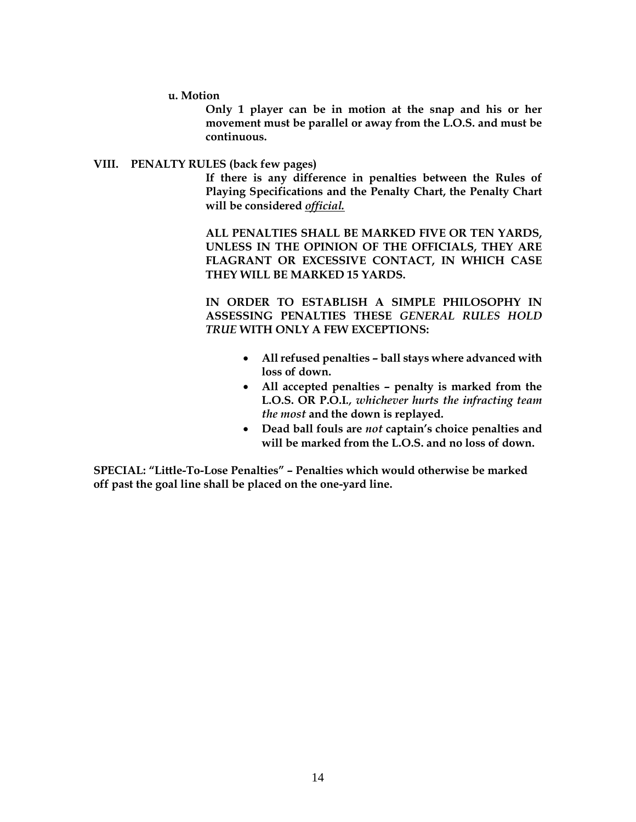**u. Motion**

**Only 1 player can be in motion at the snap and his or her movement must be parallel or away from the L.O.S. and must be continuous.**

#### **VIII. PENALTY RULES (back few pages)**

**If there is any difference in penalties between the Rules of Playing Specifications and the Penalty Chart, the Penalty Chart will be considered** *official.*

**ALL PENALTIES SHALL BE MARKED FIVE OR TEN YARDS, UNLESS IN THE OPINION OF THE OFFICIALS, THEY ARE FLAGRANT OR EXCESSIVE CONTACT, IN WHICH CASE THEY WILL BE MARKED 15 YARDS.**

**IN ORDER TO ESTABLISH A SIMPLE PHILOSOPHY IN ASSESSING PENALTIES THESE** *GENERAL RULES HOLD TRUE* **WITH ONLY A FEW EXCEPTIONS:**

- **All refused penalties – ball stays where advanced with loss of down.**
- **All accepted penalties – penalty is marked from the L.O.S. OR P.O.I***., whichever hurts the infracting team the most* **and the down is replayed.**
- **Dead ball fouls are** *not* **captain's choice penalties and will be marked from the L.O.S. and no loss of down.**

**SPECIAL: "Little-To-Lose Penalties" – Penalties which would otherwise be marked off past the goal line shall be placed on the one-yard line.**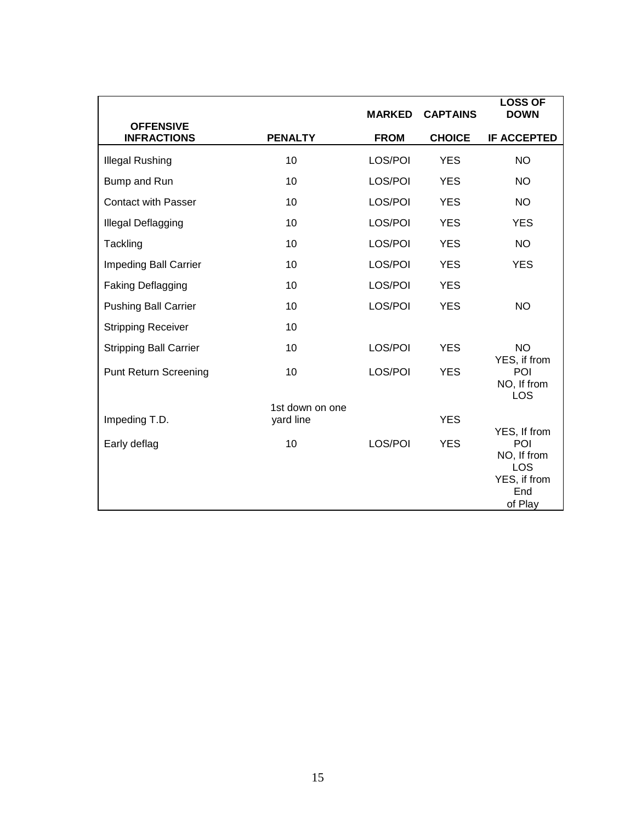|                                        |                 | <b>MARKED</b> | <b>CAPTAINS</b> | <b>LOSS OF</b><br><b>DOWN</b>                               |
|----------------------------------------|-----------------|---------------|-----------------|-------------------------------------------------------------|
| <b>OFFENSIVE</b><br><b>INFRACTIONS</b> | <b>PENALTY</b>  | <b>FROM</b>   | <b>CHOICE</b>   | <b>IF ACCEPTED</b>                                          |
| <b>Illegal Rushing</b>                 | 10              | LOS/POI       | <b>YES</b>      | <b>NO</b>                                                   |
| Bump and Run                           | 10              | LOS/POI       | <b>YES</b>      | <b>NO</b>                                                   |
| <b>Contact with Passer</b>             | 10              | LOS/POI       | <b>YES</b>      | <b>NO</b>                                                   |
| Illegal Deflagging                     | 10              | LOS/POI       | <b>YES</b>      | <b>YES</b>                                                  |
| Tackling                               | 10              | LOS/POI       | <b>YES</b>      | <b>NO</b>                                                   |
| <b>Impeding Ball Carrier</b>           | 10              | LOS/POI       | <b>YES</b>      | <b>YES</b>                                                  |
| <b>Faking Deflagging</b>               | 10              | LOS/POI       | <b>YES</b>      |                                                             |
| <b>Pushing Ball Carrier</b>            | 10              | LOS/POI       | <b>YES</b>      | <b>NO</b>                                                   |
| <b>Stripping Receiver</b>              | 10              |               |                 |                                                             |
| <b>Stripping Ball Carrier</b>          | 10              | LOS/POI       | <b>YES</b>      | <b>NO</b>                                                   |
| <b>Punt Return Screening</b>           | 10              | LOS/POI       | <b>YES</b>      | YES, if from<br>POI<br>NO, If from<br>LOS                   |
| Impeding T.D.                          | 1st down on one |               | <b>YES</b>      |                                                             |
| Early deflag                           | yard line<br>10 | LOS/POI       | <b>YES</b>      | YES, If from<br>POI                                         |
|                                        |                 |               |                 | NO, If from<br><b>LOS</b><br>YES, if from<br>End<br>of Play |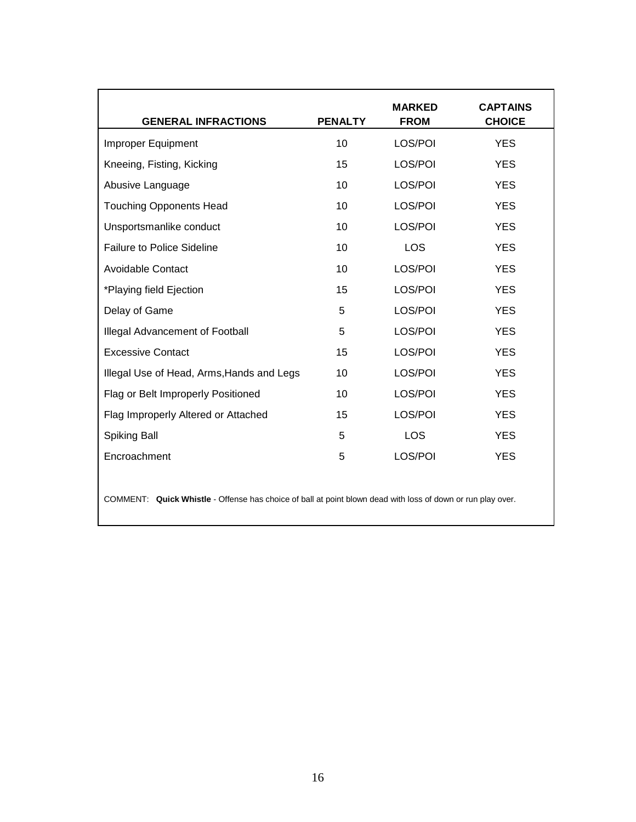| <b>GENERAL INFRACTIONS</b>                | <b>PENALTY</b> | <b>MARKED</b><br><b>FROM</b> | <b>CAPTAINS</b><br><b>CHOICE</b> |
|-------------------------------------------|----------------|------------------------------|----------------------------------|
| Improper Equipment                        | 10             | LOS/POI                      | <b>YES</b>                       |
| Kneeing, Fisting, Kicking                 | 15             | LOS/POI                      | <b>YES</b>                       |
| Abusive Language                          | 10             | LOS/POI                      | <b>YES</b>                       |
| <b>Touching Opponents Head</b>            | 10             | LOS/POI                      | <b>YES</b>                       |
| Unsportsmanlike conduct                   | 10             | LOS/POI                      | <b>YES</b>                       |
| <b>Failure to Police Sideline</b>         | 10             | <b>LOS</b>                   | <b>YES</b>                       |
| Avoidable Contact                         | 10             | LOS/POI                      | <b>YES</b>                       |
| *Playing field Ejection                   | 15             | LOS/POI                      | <b>YES</b>                       |
| Delay of Game                             | 5              | LOS/POI                      | <b>YES</b>                       |
| Illegal Advancement of Football           | 5              | LOS/POI                      | <b>YES</b>                       |
| <b>Excessive Contact</b>                  | 15             | LOS/POI                      | <b>YES</b>                       |
| Illegal Use of Head, Arms, Hands and Legs | 10             | LOS/POI                      | <b>YES</b>                       |
| Flag or Belt Improperly Positioned        | 10             | LOS/POI                      | <b>YES</b>                       |
| Flag Improperly Altered or Attached       | 15             | LOS/POI                      | <b>YES</b>                       |
| Spiking Ball                              | 5              | LOS                          | <b>YES</b>                       |
| Encroachment                              | 5              | LOS/POI                      | <b>YES</b>                       |

COMMENT: **Quick Whistle** - Offense has choice of ball at point blown dead with loss of down or run play over.